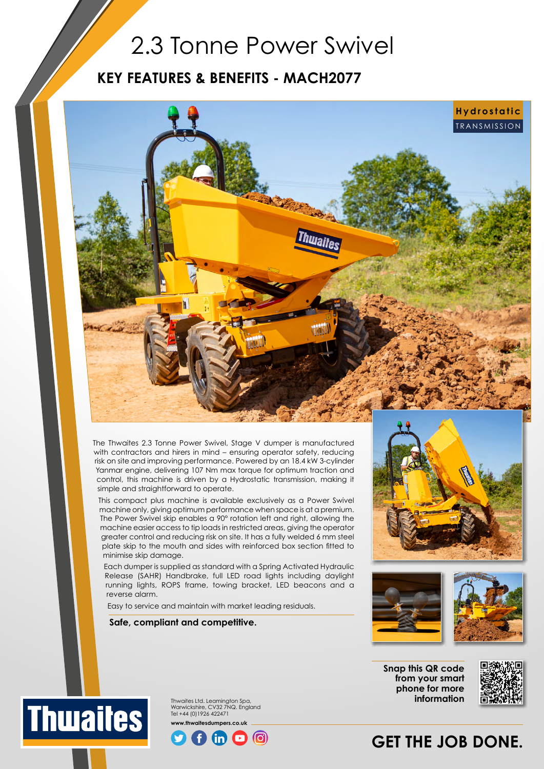## 2.3 Tonne Power Swivel

### **KEY FEATURES & BENEFITS - MACH2077**



The Thwaites 2.3 Tonne Power Swivel, Stage V dumper is manufactured with contractors and hirers in mind – ensuring operator safety, reducing risk on site and improving performance. Powered by an 18.4 kW 3-cylinder Yanmar engine, delivering 107 Nm max torque for optimum traction and control, this machine is driven by a Hydrostatic transmission, making it simple and straightforward to operate.

This compact plus machine is available exclusively as a Power Swivel machine only, giving optimum performance when space is at a premium. The Power Swivel skip enables a 90° rotation left and right, allowing the machine easier access to tip loads in restricted areas, giving the operator greater control and reducing risk on site. It has a fully welded 6 mm steel plate skip to the mouth and sides with reinforced box section fitted to minimise skip damage.

Each dumper is supplied as standard with a Spring Activated Hydraulic Release (SAHR) Handbrake, full LED road lights including daylight running lights, ROPS frame, towing bracket, LED beacons and a reverse alarm.

Easy to service and maintain with market leading residuals.

**Safe, compliant and competitive.**





**Snap this QR code from your smart phone for more information**



## **GET THE JOB DONE.**



Thwaites Ltd. Leamington Spa, Warwickshire, CV32 7NQ. England Tel +44 (0)1926 422471 **www.thwaitesdumpers.co.uk**

ത്ര)